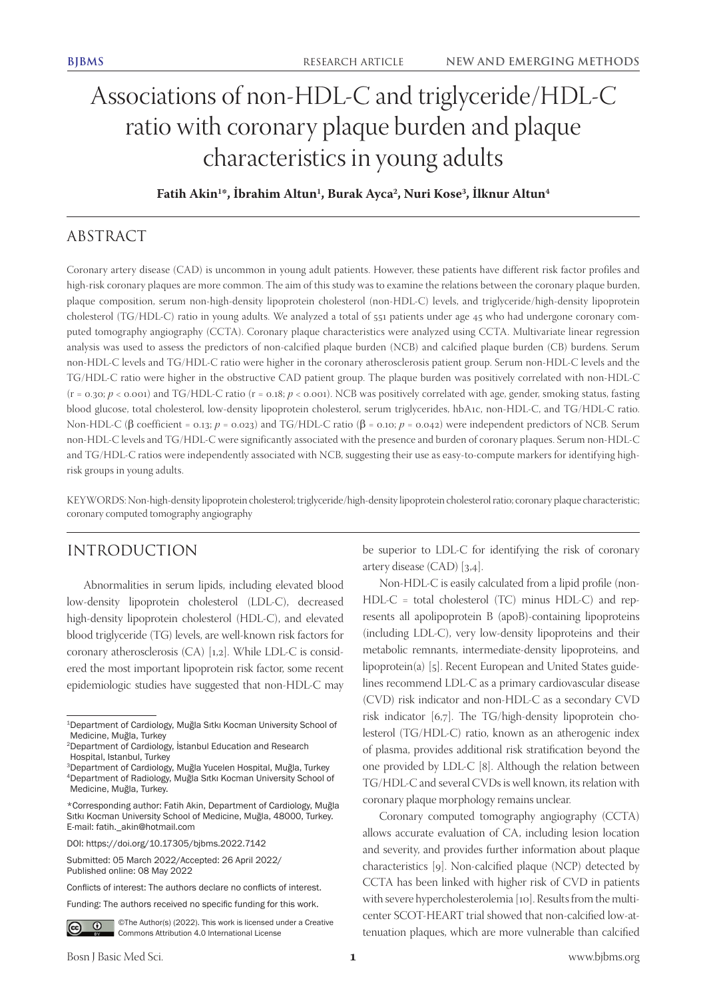# Associations of non-HDL-C and triglyceride/HDL-C ratio with coronary plaque burden and plaque characteristics in young adults

**Fatih Akin1 \*, İbrahim Altun1 , Burak Ayca2 , Nuri Kose3 , İlknur Altun4**

## ABSTRACT

Coronary artery disease (CAD) is uncommon in young adult patients. However, these patients have different risk factor profiles and high-risk coronary plaques are more common. The aim of this study was to examine the relations between the coronary plaque burden, plaque composition, serum non-high-density lipoprotein cholesterol (non-HDL-C) levels, and triglyceride/high-density lipoprotein cholesterol (TG/HDL-C) ratio in young adults. We analyzed a total of 551 patients under age 45 who had undergone coronary computed tomography angiography (CCTA). Coronary plaque characteristics were analyzed using CCTA. Multivariate linear regression analysis was used to assess the predictors of non-calcified plaque burden (NCB) and calcified plaque burden (CB) burdens. Serum non-HDL-C levels and TG/HDL-C ratio were higher in the coronary atherosclerosis patient group. Serum non-HDL-C levels and the TG/HDL-C ratio were higher in the obstructive CAD patient group. The plaque burden was positively correlated with non-HDL-C (r = 0.30; *p* < 0.001) and TG/HDL-C ratio (r = 0.18; *p* < 0.001). NCB was positively correlated with age, gender, smoking status, fasting blood glucose, total cholesterol, low-density lipoprotein cholesterol, serum triglycerides, hbA1c, non-HDL-C, and TG/HDL-C ratio. Non-HDL-C (β coefficient = 0.13; *p* = 0.023) and TG/HDL-C ratio (β = 0.10; *p* = 0.042) were independent predictors of NCB. Serum non-HDL-C levels and TG/HDL-C were significantly associated with the presence and burden of coronary plaques. Serum non-HDL-C and TG/HDL-C ratios were independently associated with NCB, suggesting their use as easy-to-compute markers for identifying highrisk groups in young adults.

KEYWORDS: Non-high-density lipoprotein cholesterol; triglyceride/high-density lipoprotein cholesterol ratio; coronary plaque characteristic; coronary computed tomography angiography

# INTRODUCTION

Abnormalities in serum lipids, including elevated blood low-density lipoprotein cholesterol (LDL-C), decreased high-density lipoprotein cholesterol (HDL-C), and elevated blood triglyceride (TG) levels, are well-known risk factors for coronary atherosclerosis (CA) [1,2]. While LDL-C is considered the most important lipoprotein risk factor, some recent epidemiologic studies have suggested that non-HDL-C may

©The Author(s) (2022). This work is licensed under a Creative  $\odot$  $(c)$ Commons Attribution 4.0 International License

be superior to LDL-C for identifying the risk of coronary artery disease (CAD) [3,4].

Non-HDL-C is easily calculated from a lipid profile (non-HDL-C = total cholesterol (TC) minus HDL-C) and represents all apolipoprotein B (apoB)-containing lipoproteins (including LDL-C), very low-density lipoproteins and their metabolic remnants, intermediate-density lipoproteins, and lipoprotein(a) [5]. Recent European and United States guidelines recommend LDL-C as a primary cardiovascular disease (CVD) risk indicator and non-HDL-C as a secondary CVD risk indicator [6,7]. The TG/high-density lipoprotein cholesterol (TG/HDL-C) ratio, known as an atherogenic index of plasma, provides additional risk stratification beyond the one provided by LDL-C [8]. Although the relation between TG/HDL-C and several CVDs is well known, its relation with coronary plaque morphology remains unclear.

Coronary computed tomography angiography (CCTA) allows accurate evaluation of CA, including lesion location and severity, and provides further information about plaque characteristics [9]. Non-calcified plaque (NCP) detected by CCTA has been linked with higher risk of CVD in patients with severe hypercholesterolemia [10]. Results from the multicenter SCOT-HEART trial showed that non-calcified low-attenuation plaques, which are more vulnerable than calcified

<sup>1</sup>Department of Cardiology, Muğla Sıtkı Kocman University School of Medicine, Muğla, Turkey

<sup>2</sup>Department of Cardiology, İstanbul Education and Research Hospital, Istanbul, Turkey

<sup>3</sup>Department of Cardiology, Muğla Yucelen Hospital, Muğla, Turkey <sup>4</sup>Department of Radiology, Muğla Sıtkı Kocman University School of Medicine, Muğla, Turkey.

<sup>\*</sup>Corresponding author: Fatih Akin, Department of Cardiology, Muğla Sıtkı Kocman University School of Medicine, Muğla, 48000, Turkey. E-mail: fatih.\_akin@hotmail.com

DOI: https://doi.org/10.17305/bjbms.2022.7142

Submitted: 05 March 2022/Accepted: 26 April 2022/ Published online: 08 May 2022

Conflicts of interest: The authors declare no conflicts of interest.

Funding: The authors received no specific funding for this work.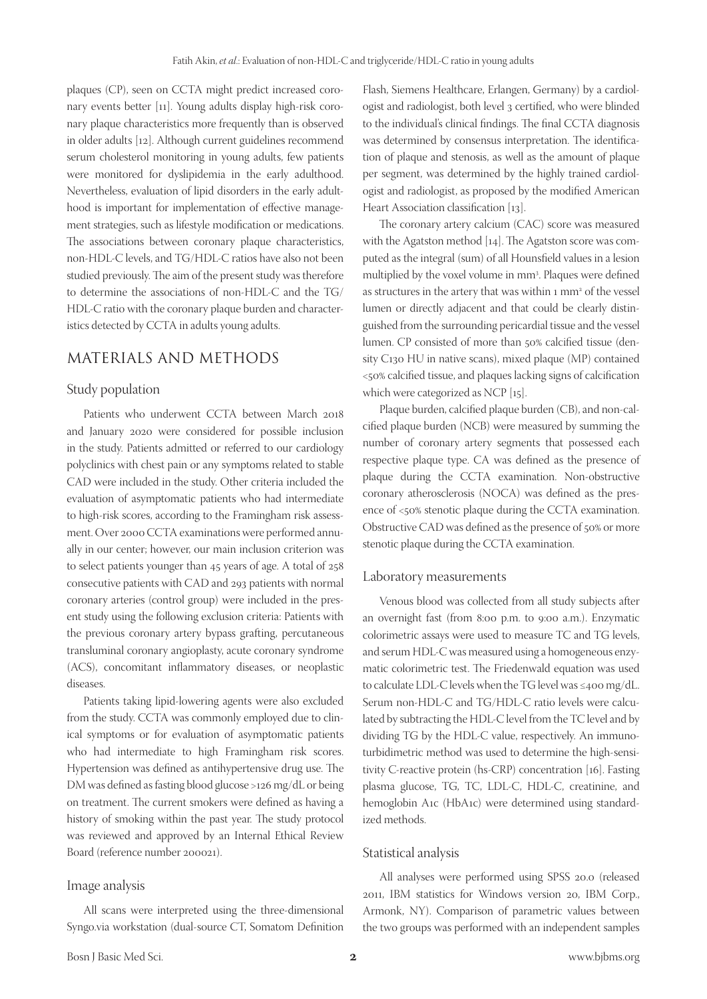plaques (CP), seen on CCTA might predict increased coronary events better [11]. Young adults display high-risk coronary plaque characteristics more frequently than is observed in older adults [12]. Although current guidelines recommend serum cholesterol monitoring in young adults, few patients were monitored for dyslipidemia in the early adulthood. Nevertheless, evaluation of lipid disorders in the early adulthood is important for implementation of effective management strategies, such as lifestyle modification or medications. The associations between coronary plaque characteristics, non-HDL-C levels, and TG/HDL-C ratios have also not been studied previously. The aim of the present study was therefore to determine the associations of non-HDL-C and the TG/ HDL-C ratio with the coronary plaque burden and characteristics detected by CCTA in adults young adults.

# MATERIALS AND METHODS

## Study population

Patients who underwent CCTA between March 2018 and January 2020 were considered for possible inclusion in the study. Patients admitted or referred to our cardiology polyclinics with chest pain or any symptoms related to stable CAD were included in the study. Other criteria included the evaluation of asymptomatic patients who had intermediate to high-risk scores, according to the Framingham risk assessment. Over 2000 CCTA examinations were performed annually in our center; however, our main inclusion criterion was to select patients younger than 45 years of age. A total of 258 consecutive patients with CAD and 293 patients with normal coronary arteries (control group) were included in the present study using the following exclusion criteria: Patients with the previous coronary artery bypass grafting, percutaneous transluminal coronary angioplasty, acute coronary syndrome (ACS), concomitant inflammatory diseases, or neoplastic diseases.

Patients taking lipid-lowering agents were also excluded from the study. CCTA was commonly employed due to clinical symptoms or for evaluation of asymptomatic patients who had intermediate to high Framingham risk scores. Hypertension was defined as antihypertensive drug use. The DM was defined as fasting blood glucose >126 mg/dL or being on treatment. The current smokers were defined as having a history of smoking within the past year. The study protocol was reviewed and approved by an Internal Ethical Review Board (reference number 200021).

## Image analysis

All scans were interpreted using the three-dimensional Syngo.via workstation (dual-source CT, Somatom Definition Flash, Siemens Healthcare, Erlangen, Germany) by a cardiologist and radiologist, both level 3 certified, who were blinded to the individual's clinical findings. The final CCTA diagnosis was determined by consensus interpretation. The identification of plaque and stenosis, as well as the amount of plaque per segment, was determined by the highly trained cardiologist and radiologist, as proposed by the modified American Heart Association classification [13].

The coronary artery calcium (CAC) score was measured with the Agatston method [14]. The Agatston score was computed as the integral (sum) of all Hounsfield values in a lesion multiplied by the voxel volume in mm3 . Plaques were defined as structures in the artery that was within  $1 \text{ mm}^2$  of the vessel lumen or directly adjacent and that could be clearly distinguished from the surrounding pericardial tissue and the vessel lumen. CP consisted of more than 50% calcified tissue (density C130 HU in native scans), mixed plaque (MP) contained <50% calcified tissue, and plaques lacking signs of calcification which were categorized as NCP [15].

Plaque burden, calcified plaque burden (CB), and non-calcified plaque burden (NCB) were measured by summing the number of coronary artery segments that possessed each respective plaque type. CA was defined as the presence of plaque during the CCTA examination. Non-obstructive coronary atherosclerosis (NOCA) was defined as the presence of <50% stenotic plaque during the CCTA examination. Obstructive CAD was defined as the presence of 50% or more stenotic plaque during the CCTA examination.

### Laboratory measurements

Venous blood was collected from all study subjects after an overnight fast (from 8:00 p.m. to 9:00 a.m.). Enzymatic colorimetric assays were used to measure TC and TG levels, and serum HDL-C was measured using a homogeneous enzymatic colorimetric test. The Friedenwald equation was used to calculate LDL-C levels when the TG level was ≤400 mg/dL. Serum non-HDL-C and TG/HDL-C ratio levels were calculated by subtracting the HDL-C level from the TC level and by dividing TG by the HDL-C value, respectively. An immunoturbidimetric method was used to determine the high-sensitivity C-reactive protein (hs-CRP) concentration [16]. Fasting plasma glucose, TG, TC, LDL-C, HDL-C, creatinine, and hemoglobin A1c (HbA1c) were determined using standardized methods.

#### Statistical analysis

All analyses were performed using SPSS 20.0 (released 2011, IBM statistics for Windows version 20, IBM Corp., Armonk, NY). Comparison of parametric values between the two groups was performed with an independent samples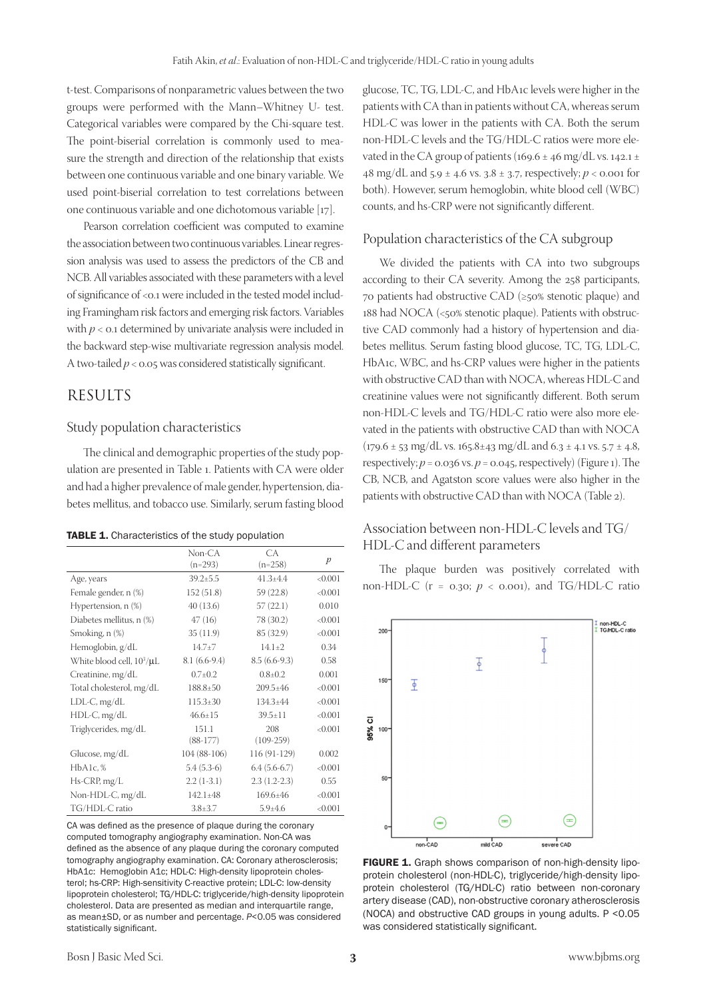t-test. Comparisons of nonparametric values between the two groups were performed with the Mann–Whitney U- test. Categorical variables were compared by the Chi-square test. The point-biserial correlation is commonly used to measure the strength and direction of the relationship that exists between one continuous variable and one binary variable. We used point-biserial correlation to test correlations between one continuous variable and one dichotomous variable [17].

Pearson correlation coefficient was computed to examine the association between two continuous variables. Linear regression analysis was used to assess the predictors of the CB and NCB. All variables associated with these parameters with a level of significance of <0.1 were included in the tested model including Framingham risk factors and emerging risk factors. Variables with  $p < 0.1$  determined by univariate analysis were included in the backward step-wise multivariate regression analysis model. A two-tailed *p* < 0.05 was considered statistically significant.

## **RESULTS**

#### Study population characteristics

The clinical and demographic properties of the study population are presented in Table 1. Patients with CA were older and had a higher prevalence of male gender, hypertension, diabetes mellitus, and tobacco use. Similarly, serum fasting blood

#### TABLE 1. Characteristics of the study population

|                                | Non-CA         | CA             |                  |
|--------------------------------|----------------|----------------|------------------|
|                                | $(n=293)$      | $(n=258)$      | $\boldsymbol{p}$ |
| Age, years                     | $39.2 \pm 5.5$ | $41.3 + 4.4$   | < 0.001          |
| Female gender, n (%)           | 152(51.8)      | 59 (22.8)      | < 0.001          |
| Hypertension, n (%)            | 40 (13.6)      | 57(22.1)       | 0.010            |
| Diabetes mellitus, n (%)       | 47(16)         | 78 (30.2)      | < 0.001          |
| Smoking, n (%)                 | 35 (11.9)      | 85 (32.9)      | < 0.001          |
| Hemoglobin, g/dL               | $14.7 + 7$     | $14.1 \pm 2$   | 0.34             |
| White blood cell, $10^3/\mu L$ | $8.1(6.6-9.4)$ | $8.5(6.6-9.3)$ | 0.58             |
| Creatinine, mg/dL              | $0.7 \pm 0.2$  | $0.8 + 0.2$    | 0.001            |
| Total cholesterol, mg/dL       | 188.8±50       | $209.5 \pm 46$ | < 0.001          |
| $LDL-C, mg/dL$                 | $115.3 \pm 30$ | $134.3{\pm}44$ | < 0.001          |
| HDL-C, mg/dL                   | $46.6 \pm 15$  | $39.5 \pm 11$  | < 0.001          |
| Triglycerides, mg/dL           | 151.1          | 208            | < 0.001          |
|                                | $(88-177)$     | $(109-259)$    |                  |
| Glucose, mg/dL                 | 104 (88-106)   | 116 (91-129)   | 0.002            |
| HbA1c, %                       | $5.4(5.3-6)$   | $6.4(5.6-6.7)$ | < 0.001          |
| Hs-CRP, mg/L                   | $2.2(1-3.1)$   | $2.3(1.2-2.3)$ | 0.55             |
| Non-HDL-C, mg/dL               | $142.1 \pm 48$ | $169.6 \pm 46$ | < 0.001          |
| TG/HDL-C ratio                 | $3.8 \pm 3.7$  | $5.9 + 4.6$    | < 0.001          |

CA was defined as the presence of plaque during the coronary computed tomography angiography examination. Non‑CA was defined as the absence of any plaque during the coronary computed tomography angiography examination. CA: Coronary atherosclerosis; HbA1c: Hemoglobin A1c; HDL-C: High-density lipoprotein cholesterol; hs-CRP: High-sensitivity C-reactive protein; LDL-C: low-density lipoprotein cholesterol; TG/HDL-C: triglyceride/high-density lipoprotein cholesterol. Data are presented as median and interquartile range, as mean±SD, or as number and percentage. *P*<0.05 was considered statistically significant.

glucose, TC, TG, LDL-C, and HbA1c levels were higher in the patients with CA than in patients without CA, whereas serum HDL-C was lower in the patients with CA. Both the serum non-HDL-C levels and the TG/HDL-C ratios were more elevated in the CA group of patients (169.6  $\pm$  46 mg/dL vs. 142.1  $\pm$ 48 mg/dL and 5.9 ± 4.6 vs. 3.8 ± 3.7, respectively; *p* < 0.001 for both). However, serum hemoglobin, white blood cell (WBC) counts, and hs-CRP were not significantly different.

#### Population characteristics of the CA subgroup

We divided the patients with CA into two subgroups according to their CA severity. Among the 258 participants, 70 patients had obstructive CAD (≥50% stenotic plaque) and 188 had NOCA (<50% stenotic plaque). Patients with obstructive CAD commonly had a history of hypertension and diabetes mellitus. Serum fasting blood glucose, TC, TG, LDL-C, HbA1c, WBC, and hs-CRP values were higher in the patients with obstructive CAD than with NOCA, whereas HDL-C and creatinine values were not significantly different. Both serum non-HDL-C levels and TG/HDL-C ratio were also more elevated in the patients with obstructive CAD than with NOCA  $(179.6 \pm 53 \text{ mg/dL vs. } 165.8 \pm 43 \text{ mg/dL and } 6.3 \pm 4.1 \text{ vs. } 5.7 \pm 4.8,$ respectively;  $p = 0.036$  vs.  $p = 0.045$ , respectively) (Figure 1). The CB, NCB, and Agatston score values were also higher in the patients with obstructive CAD than with NOCA (Table 2).

## Association between non-HDL-C levels and TG/ HDL-C and different parameters

The plaque burden was positively correlated with non-HDL-C ( $r = 0.30$ ;  $p \lt 0.001$ ), and TG/HDL-C ratio



FIGURE 1. Graph shows comparison of non-high-density lipoprotein cholesterol (non-HDL-C), triglyceride/high-density lipoprotein cholesterol (TG/HDL-C) ratio between non-coronary artery disease (CAD), non-obstructive coronary atherosclerosis (NOCA) and obstructive CAD groups in young adults. P <0.05 was considered statistically significant.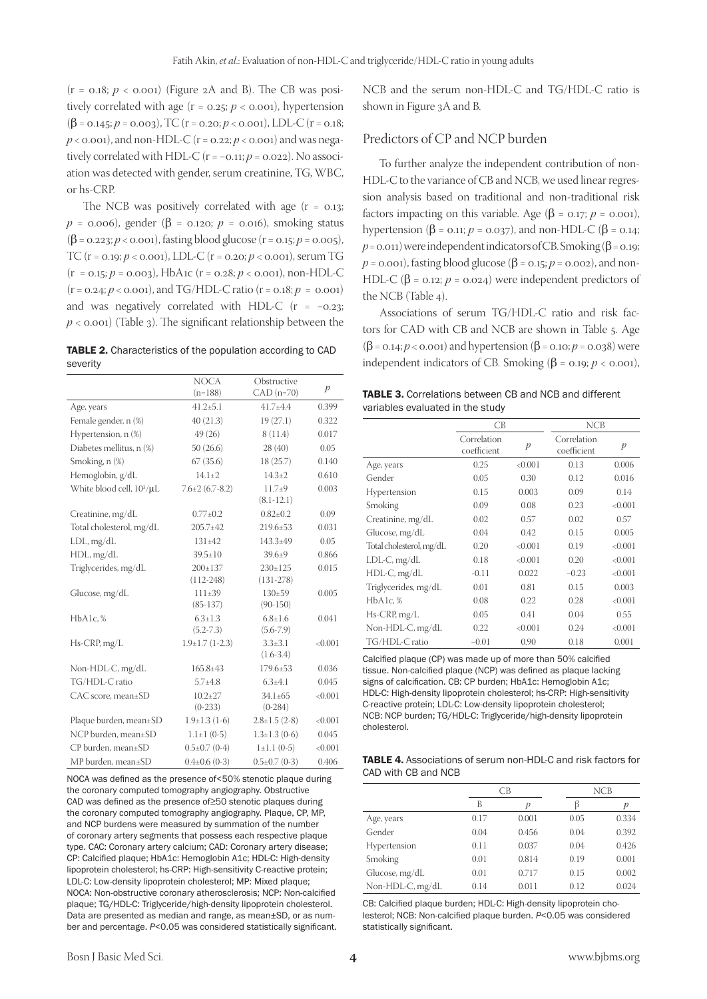$(r = 0.18; p < 0.001)$  (Figure 2A and B). The CB was positively correlated with age  $(r = 0.25; p < 0.001)$ , hypertension (β = 0.145; *p* = 0.003), TC (r = 0.20; *p* < 0.001), LDL-C (r = 0.18;  $p$  < 0.001), and non-HDL-C ( $r$  = 0.22;  $p$  < 0.001) and was negatively correlated with HDL-C ( $r = -0.11$ ;  $p = 0.022$ ). No association was detected with gender, serum creatinine, TG, WBC, or hs-CRP.

The NCB was positively correlated with age  $(r = 0.13$ ; *, gender (β = 0.120; <i>p* = 0.016), smoking status  $(\beta = 0.223; p < 0.001)$ , fasting blood glucose (r = 0.15;  $p = 0.005$ ), TC (r = 0.19; *p* < 0.001), LDL-C (r = 0.20; *p* < 0.001), serum TG  $(r = 0.15; p = 0.003)$ , HbA1c  $(r = 0.28; p < 0.001)$ , non-HDL-C  $(r = 0.24; p < 0.001)$ , and TG/HDL-C ratio  $(r = 0.18; p = 0.001)$ and was negatively correlated with HDL-C (r = −0.23;  $p <$  0.001) (Table 3). The significant relationship between the

TABLE 2. Characteristics of the population according to CAD severity

|                                       | <b>NOCA</b><br>$(n=188)$ | Obstructive<br>$CAD$ (n=70)  | $\boldsymbol{p}$ |
|---------------------------------------|--------------------------|------------------------------|------------------|
| Age, years                            | $41.2 \pm 5.1$           | $41.7 + 4.4$                 | 0.399            |
| Female gender, n (%)                  | 40(21.3)                 | 19(27.1)                     | 0.322            |
| Hypertension, n (%)                   | 49(26)                   | 8(11.4)                      | 0.017            |
| Diabetes mellitus, n (%)              | 50(26.6)                 | 28 (40)                      | 0.05             |
| Smoking, n (%)                        | 67(35.6)                 | 18 (25.7)                    | 0.140            |
| Hemoglobin, g/dL                      | $14.1 \pm 2$             | $14.3 \pm 2$                 | 0.610            |
| White blood cell, 10 <sup>3</sup> /µL | $7.6\pm2(6.7-8.2)$       | $11.7+9$<br>$(8.1 - 12.1)$   | 0.003            |
| Creatinine, mg/dL                     | $0.77 \pm 0.2$           | $0.82{\pm}0.2$               | 0.09             |
| Total cholesterol, mg/dL              | $205.7 \pm 42$           | $219.6 \pm 53$               | 0.031            |
| $LDL$ , mg/d $L$                      | $131 + 42$               | $143.3 + 49$                 | 0.05             |
| HDL, mg/dL                            | $39.5 \pm 10$            | $39.6 \pm 9$                 | 0.866            |
| Triglycerides, mg/dL                  | $200 \pm 137$            | $230 \pm 125$                | 0.015            |
|                                       | $(112-248)$              | $(131-278)$                  |                  |
| Glucose, mg/dL                        | $111\pm 39$              | $130+59$                     | 0.005            |
|                                       | $(85-137)$               | $(90-150)$                   |                  |
| HbA1c, %                              | $6.3 \pm 1.3$            | $6.8 \pm 1.6$                | 0.041            |
|                                       | $(5.2 - 7.3)$            | $(5.6 - 7.9)$                |                  |
| $Hs-CRP$ , mg/L                       | $1.9 \pm 1.7$ (1-2.3)    | $3.3 \pm 3.1$<br>$(1.6-3.4)$ | < 0.001          |
| Non-HDL-C, mg/dL                      | $165.8{\pm}43$           | $179.6 \pm 53$               | 0.036            |
| TG/HDL-C ratio                        | $5.7 \pm 4.8$            | $6.3 + 4.1$                  | 0.045            |
| CAC score, mean±SD                    | $10.2 \pm 27$            | $34.1 \pm 65$                | < 0.001          |
|                                       | $(0-233)$                | $(0-284)$                    |                  |
| Plaque burden, mean±SD                | $1.9 \pm 1.3$ (1-6)      | $2.8 \pm 1.5$ (2-8)          | < 0.001          |
| NCP burden, mean±SD                   | $1.1 \pm 1$ (0-5)        | $1.3 \pm 1.3$ (0-6)          | 0.045            |
| CP burden. mean±SD                    | $0.5\pm0.7$ (0-4)        | $1 \pm 1.1$ (0-5)            | < 0.001          |
| MP burden, mean±SD                    | $0.4\pm0.6$ (0-3)        | $0.5 \pm 0.7$ (0-3)          | 0.406            |

NOCA was defined as the presence of<50% stenotic plaque during the coronary computed tomography angiography. Obstructive CAD was defined as the presence of≥50 stenotic plaques during the coronary computed tomography angiography. Plaque, CP, MP, and NCP burdens were measured by summation of the number of coronary artery segments that possess each respective plaque type. CAC: Coronary artery calcium; CAD: Coronary artery disease; CP: Calcified plaque; HbA1c: Hemoglobin A1c; HDL-C: High-density lipoprotein cholesterol; hs-CRP: High-sensitivity C-reactive protein; LDL-C: Low-density lipoprotein cholesterol; MP: Mixed plaque; NOCA: Non-obstructive coronary atherosclerosis; NCP: Non-calcified plaque; TG/HDL-C: Triglyceride/high-density lipoprotein cholesterol. Data are presented as median and range, as mean±SD, or as number and percentage. *P*<0.05 was considered statistically significant. NCB and the serum non-HDL-C and TG/HDL-C ratio is shown in Figure 3A and B.

## Predictors of CP and NCP burden

To further analyze the independent contribution of non-HDL-C to the variance of CB and NCB, we used linear regression analysis based on traditional and non-traditional risk factors impacting on this variable. Age ( $\beta$  = 0.17; *p* = 0.001), hypertension (β = 0.11; *p* = 0.037), and non-HDL-C (β = 0.14;  $p = 0.011$ ) were independent indicators of CB. Smoking ( $\beta = 0.19$ ; *p* = 0.001), fasting blood glucose (β = 0.15; *p* = 0.002), and non-HDL-C ( $\beta$  = 0.12; *p* = 0.024) were independent predictors of the NCB (Table 4).

Associations of serum TG/HDL-C ratio and risk factors for CAD with CB and NCB are shown in Table 5. Age (β = 0.14; *p* < 0.001) and hypertension (β = 0.10; *p* = 0.038) were independent indicators of CB. Smoking ( $β = 0.19$ ; *p* < 0.001),

| <b>TABLE 3.</b> Correlations between CB and NCB and different |  |  |
|---------------------------------------------------------------|--|--|
| variables evaluated in the study                              |  |  |

|                          | CB                         |                  | <b>NCB</b>                 |                  |
|--------------------------|----------------------------|------------------|----------------------------|------------------|
|                          | Correlation<br>coefficient | $\boldsymbol{p}$ | Correlation<br>coefficient | $\boldsymbol{p}$ |
| Age, years               | 0.25                       | <0.001           | 0.13                       | 0.006            |
| Gender                   | 0.05                       | 0.30             | 0.12                       | 0.016            |
| Hypertension             | 0.15                       | 0.003            | 0.09                       | 0.14             |
| Smoking                  | 0.09                       | 0.08             | 0.23                       | < 0.001          |
| Creatinine, mg/dL        | 0.02                       | 0.57             | 0.02                       | 0.57             |
| Glucose, mg/dL           | 0.04                       | 0.42             | 0.15                       | 0.005            |
| Total cholesterol, mg/dL | 0.20                       | < 0.001          | 0.19                       | < 0.001          |
| $LDL-C, mg/dL$           | 0.18                       | < 0.001          | 0.20                       | < 0.001          |
| $HDL-C$ , mg/dL          | $-0.11$                    | 0.022            | $-0.23$                    | < 0.001          |
| Triglycerides, mg/dL     | 0.01                       | 0.81             | 0.15                       | 0.003            |
| HbA1c.%                  | 0.08                       | 0.22             | 0.28                       | < 0.001          |
| $Hs-CRP$ , mg/L          | 0.05                       | 0.41             | 0.04                       | 0.55             |
| Non-HDL-C, mg/dL         | 0.22                       | < 0.001          | 0.24                       | < 0.001          |
| TG/HDL-C ratio           | $-0.01$                    | 0.90             | 0.18                       | 0.001            |

Calcified plaque (CP) was made up of more than 50% calcified tissue. Non-calcified plaque (NCP) was defined as plaque lacking signs of calcification. CB: CP burden; HbA1c: Hemoglobin A1c; HDL-C: High-density lipoprotein cholesterol; hs-CRP: High-sensitivity C‑reactive protein; LDL‑C: Low‑density lipoprotein cholesterol; NCB: NCP burden; TG/HDL-C: Triglyceride/high-density lipoprotein cholesterol.

| <b>TABLE 4.</b> Associations of serum non-HDL-C and risk factors for |  |  |
|----------------------------------------------------------------------|--|--|
| CAD with CB and NCB                                                  |  |  |

|                  | CВ   |       | NCB  |       |
|------------------|------|-------|------|-------|
|                  | В    |       |      |       |
| Age, years       | 0.17 | 0.001 | 0.05 | 0.334 |
| Gender           | 0.04 | 0.456 | 0.04 | 0.392 |
| Hypertension     | 0.11 | 0.037 | 0.04 | 0.426 |
| Smoking          | 0.01 | 0.814 | 0.19 | 0.001 |
| Glucose, mg/dL   | 0.01 | 0.717 | 0.15 | 0.002 |
| Non-HDL-C, mg/dL | 0.14 | 0.011 | 0.12 | 0.024 |

CB: Calcified plaque burden; HDL-C: High-density lipoprotein cholesterol; NCB: Non‑calcified plaque burden. *P*<0.05 was considered statistically significant.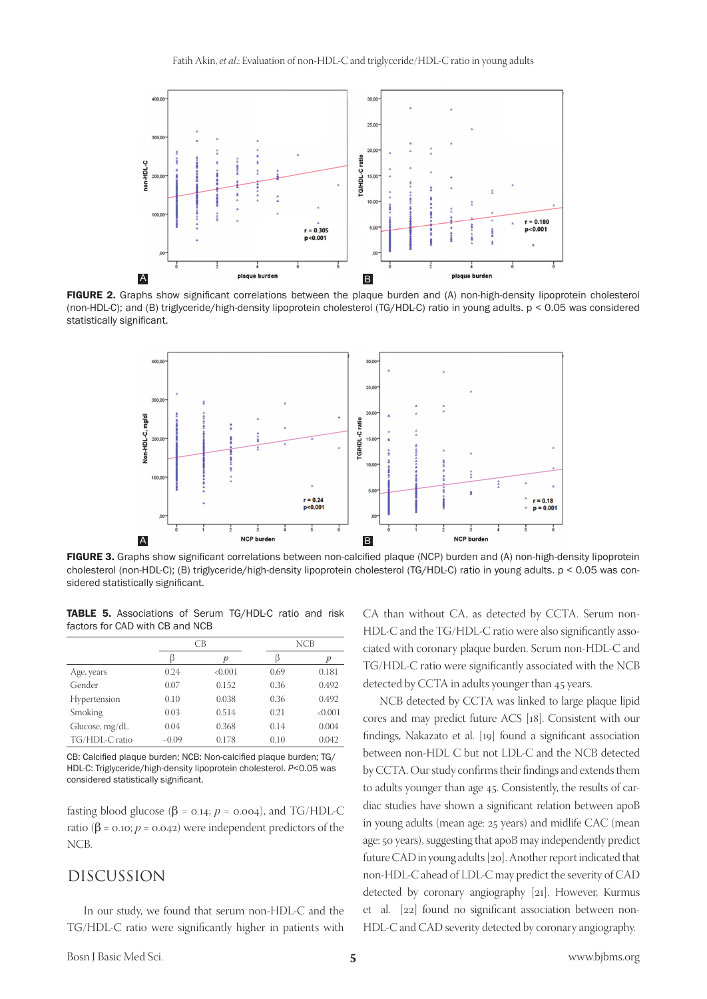

FIGURE 2. Graphs show significant correlations between the plaque burden and (A) non-high-density lipoprotein cholesterol (non-HDL-C); and (B) triglyceride/high-density lipoprotein cholesterol (TG/HDL-C) ratio in young adults. p < 0.05 was considered statistically significant.



FIGURE 3. Graphs show significant correlations between non-calcified plaque (NCP) burden and (A) non-high-density lipoprotein cholesterol (non-HDL-C); (B) triglyceride/high-density lipoprotein cholesterol (TG/HDL-C) ratio in young adults. p < 0.05 was considered statistically significant.

TABLE 5. Associations of Serum TG/HDL-C ratio and risk factors for CAD with CB and NCB

|                |         | CB     |      | NCB     |  |
|----------------|---------|--------|------|---------|--|
|                | ß       |        |      | р       |  |
| Age, years     | 0.24    | <0.001 | 0.69 | 0.181   |  |
| Gender         | 0.07    | 0.152  | 0.36 | 0.492   |  |
| Hypertension   | 0.10    | 0.038  | 0.36 | 0.492   |  |
| Smoking        | 0.03    | 0.514  | 0.21 | < 0.001 |  |
| Glucose, mg/dL | 0.04    | 0.368  | 0.14 | 0.004   |  |
| TG/HDL-C ratio | $-0.09$ | 0.178  | 0.10 | 0.042   |  |

CB: Calcified plaque burden; NCB: Non‑calcified plaque burden; TG/ HDL-C: Triglyceride/high-density lipoprotein cholesterol. *P<0.05* was considered statistically significant.

fasting blood glucose ( $\beta$  = 0.14; *p* = 0.004), and TG/HDL-C ratio (β = 0.10; *p* = 0.042) were independent predictors of the NCB.

## DISCUSSION

In our study, we found that serum non-HDL-C and the TG/HDL-C ratio were significantly higher in patients with CA than without CA, as detected by CCTA. Serum non-HDL-C and the TG/HDL-C ratio were also significantly associated with coronary plaque burden. Serum non-HDL-C and TG/HDL-C ratio were significantly associated with the NCB detected by CCTA in adults younger than 45 years.

NCB detected by CCTA was linked to large plaque lipid cores and may predict future ACS [18]. Consistent with our findings, Nakazato et al. [19] found a significant association between non-HDL C but not LDL-C and the NCB detected by CCTA. Our study confirms their findings and extends them to adults younger than age 45. Consistently, the results of cardiac studies have shown a significant relation between apoB in young adults (mean age: 25 years) and midlife CAC (mean age: 50 years), suggesting that apoB may independently predict future CAD in young adults [20]. Another report indicated that non-HDL-C ahead of LDL-C may predict the severity of CAD detected by coronary angiography [21]. However, Kurmus et al. [22] found no significant association between non-HDL-C and CAD severity detected by coronary angiography.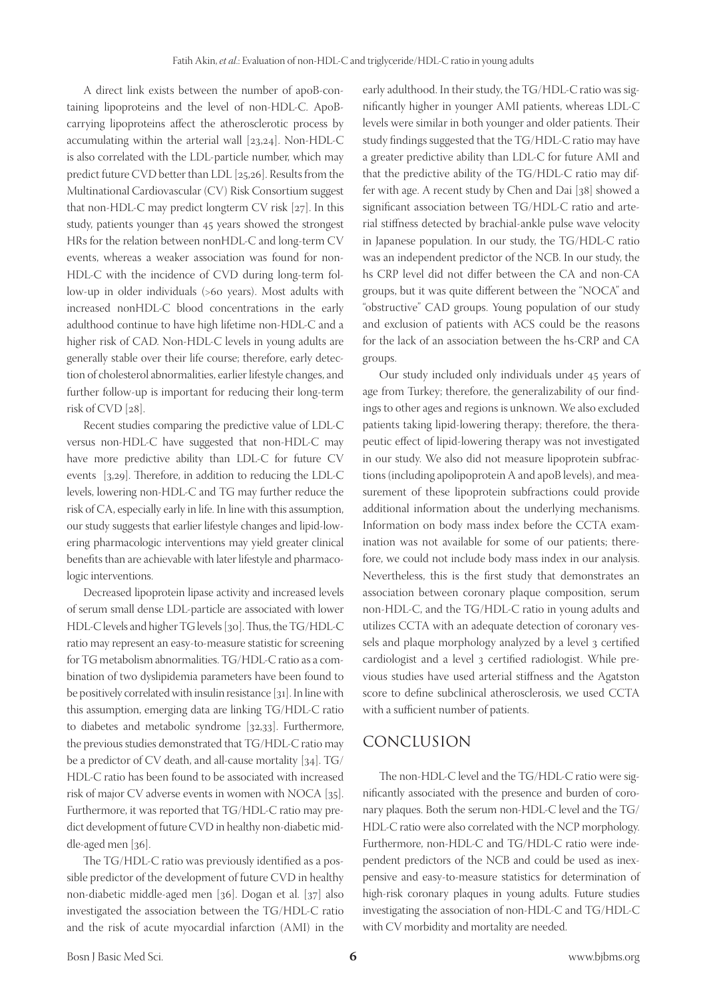A direct link exists between the number of apoB-containing lipoproteins and the level of non-HDL-C. ApoBcarrying lipoproteins affect the atherosclerotic process by accumulating within the arterial wall [23,24]. Non-HDL-C is also correlated with the LDL-particle number, which may predict future CVD better than LDL [25,26]. Results from the Multinational Cardiovascular (CV) Risk Consortium suggest that non-HDL-C may predict longterm CV risk [27]. In this study, patients younger than 45 years showed the strongest HRs for the relation between nonHDL-C and long-term CV events, whereas a weaker association was found for non-HDL-C with the incidence of CVD during long-term follow-up in older individuals (>60 years). Most adults with increased nonHDL-C blood concentrations in the early adulthood continue to have high lifetime non-HDL-C and a higher risk of CAD. Non-HDL-C levels in young adults are generally stable over their life course; therefore, early detection of cholesterol abnormalities, earlier lifestyle changes, and further follow-up is important for reducing their long-term risk of CVD [28].

Recent studies comparing the predictive value of LDL-C versus non-HDL-C have suggested that non-HDL-C may have more predictive ability than LDL-C for future CV events [3,29]. Therefore, in addition to reducing the LDL-C levels, lowering non-HDL-C and TG may further reduce the risk of CA, especially early in life. In line with this assumption, our study suggests that earlier lifestyle changes and lipid-lowering pharmacologic interventions may yield greater clinical benefits than are achievable with later lifestyle and pharmacologic interventions.

Decreased lipoprotein lipase activity and increased levels of serum small dense LDL-particle are associated with lower HDL-C levels and higher TG levels [30]. Thus, the TG/HDL-C ratio may represent an easy-to-measure statistic for screening for TG metabolism abnormalities. TG/HDL-C ratio as a combination of two dyslipidemia parameters have been found to be positively correlated with insulin resistance [31]. In line with this assumption, emerging data are linking TG/HDL-C ratio to diabetes and metabolic syndrome [32,33]. Furthermore, the previous studies demonstrated that TG/HDL-C ratio may be a predictor of CV death, and all-cause mortality [34]. TG/ HDL-C ratio has been found to be associated with increased risk of major CV adverse events in women with NOCA [35]. Furthermore, it was reported that TG/HDL-C ratio may predict development of future CVD in healthy non-diabetic middle-aged men [36].

The TG/HDL-C ratio was previously identified as a possible predictor of the development of future CVD in healthy non-diabetic middle-aged men [36]. Dogan et al. [37] also investigated the association between the TG/HDL-C ratio and the risk of acute myocardial infarction (AMI) in the

early adulthood. In their study, the TG/HDL-C ratio was significantly higher in younger AMI patients, whereas LDL-C levels were similar in both younger and older patients. Their study findings suggested that the TG/HDL-C ratio may have a greater predictive ability than LDL-C for future AMI and that the predictive ability of the TG/HDL-C ratio may differ with age. A recent study by Chen and Dai [38] showed a significant association between TG/HDL-C ratio and arterial stiffness detected by brachial-ankle pulse wave velocity in Japanese population. In our study, the TG/HDL-C ratio was an independent predictor of the NCB. In our study, the hs CRP level did not differ between the CA and non-CA groups, but it was quite different between the "NOCA" and "obstructive" CAD groups. Young population of our study and exclusion of patients with ACS could be the reasons for the lack of an association between the hs-CRP and CA groups.

Our study included only individuals under 45 years of age from Turkey; therefore, the generalizability of our findings to other ages and regions is unknown. We also excluded patients taking lipid-lowering therapy; therefore, the therapeutic effect of lipid-lowering therapy was not investigated in our study. We also did not measure lipoprotein subfractions (including apolipoprotein A and apoB levels), and measurement of these lipoprotein subfractions could provide additional information about the underlying mechanisms. Information on body mass index before the CCTA examination was not available for some of our patients; therefore, we could not include body mass index in our analysis. Nevertheless, this is the first study that demonstrates an association between coronary plaque composition, serum non-HDL-C, and the TG/HDL-C ratio in young adults and utilizes CCTA with an adequate detection of coronary vessels and plaque morphology analyzed by a level 3 certified cardiologist and a level 3 certified radiologist. While previous studies have used arterial stiffness and the Agatston score to define subclinical atherosclerosis, we used CCTA with a sufficient number of patients.

# CONCLUSION

The non-HDL-C level and the TG/HDL-C ratio were significantly associated with the presence and burden of coronary plaques. Both the serum non-HDL-C level and the TG/ HDL-C ratio were also correlated with the NCP morphology. Furthermore, non-HDL-C and TG/HDL-C ratio were independent predictors of the NCB and could be used as inexpensive and easy-to-measure statistics for determination of high-risk coronary plaques in young adults. Future studies investigating the association of non-HDL-C and TG/HDL-C with CV morbidity and mortality are needed.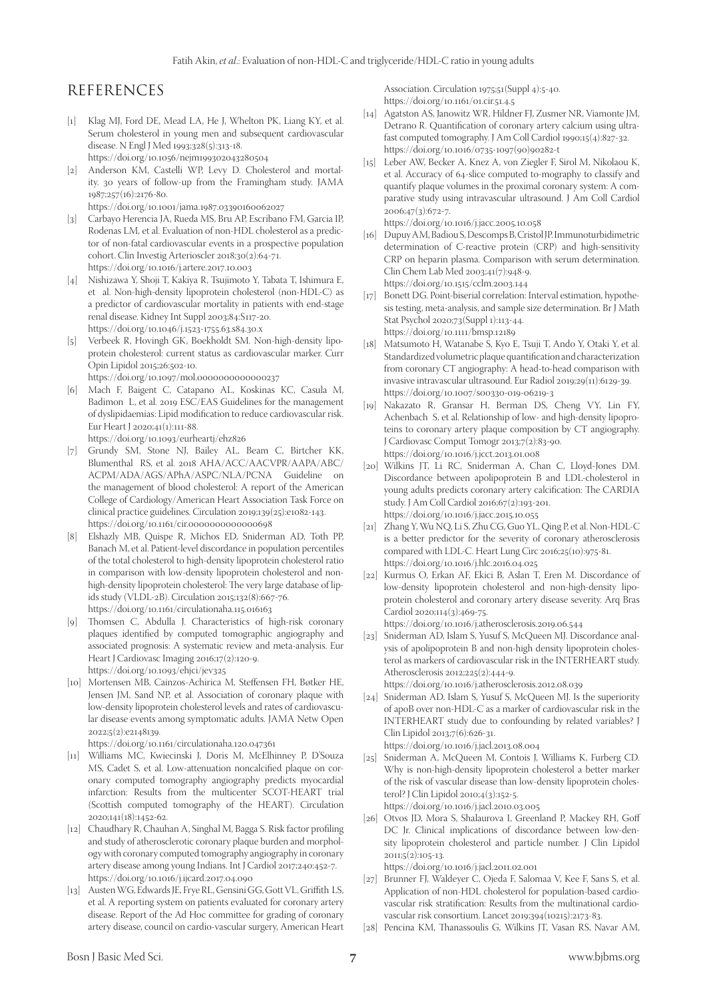# REFERENCES

- [1] Klag MJ, Ford DE, Mead LA, He J, Whelton PK, Liang KY, et al. Serum cholesterol in young men and subsequent cardiovascular disease. N Engl J Med 1993;328(5):313-18. https://doi.org/10.1056/nejm199302043280504
- [2] Anderson KM, Castelli WP, Levy D. Cholesterol and mortality. 30 years of follow-up from the Framingham study. JAMA 1987;257(16):2176-80. https://doi.org/10.1001/jama.1987.03390160062027
- [3] Carbayo Herencia JA, Rueda MS, Bru AP, Escribano FM, Garcia IP, Rodenas LM, et al. Evaluation of non-HDL cholesterol as a predictor of non-fatal cardiovascular events in a prospective population cohort. Clin Investig Arterioscler 2018;30(2):64-71. https://doi.org/10.1016/j.artere.2017.10.003
- [4] Nishizawa Y, Shoji T, Kakiya R, Tsujimoto Y, Tabata T, Ishimura E, et al. Non-high-density lipoprotein cholesterol (non-HDL-C) as a predictor of cardiovascular mortality in patients with end-stage renal disease. Kidney Int Suppl 2003;84:S117-20. https://doi.org/10.1046/j.1523-1755.63.s84.30.x
- [5] Verbeek R, Hovingh GK, Boekholdt SM. Non-high-density lipoprotein cholesterol: current status as cardiovascular marker. Curr Opin Lipidol 2015;26:502-10.
- https://doi.org/10.1097/mol.0000000000000237
- [6] Mach F, Baigent C, Catapano AL, Koskinas KC, Casula M, Badimon L, et al. 2019 ESC/EAS Guidelines for the management of dyslipidaemias: Lipid modification to reduce cardiovascular risk. Eur Heart J 2020;41(1):111-88.
	- https://doi.org/10.1093/eurheartj/ehz826
- [7] Grundy SM, Stone NJ, Bailey AL, Beam C, Birtcher KK, Blumenthal RS, et al. 2018 AHA/ACC/AACVPR/AAPA/ABC/ ACPM/ADA/AGS/APhA/ASPC/NLA/PCNA Guideline on the management of blood cholesterol: A report of the American College of Cardiology/American Heart Association Task Force on clinical practice guidelines. Circulation 2019;139(25):e1082-143. https://doi.org/10.1161/cir.0000000000000698
- [8] Elshazly MB, Quispe R, Michos ED, Sniderman AD, Toth PP, Banach M, et al. Patient-level discordance in population percentiles of the total cholesterol to high-density lipoprotein cholesterol ratio in comparison with low-density lipoprotein cholesterol and nonhigh-density lipoprotein cholesterol: The very large database of lipids study (VLDL-2B). Circulation 2015;132(8):667-76. https://doi.org/10.1161/circulationaha.115.016163
- [9] Thomsen C, Abdulla J. Characteristics of high-risk coronary plaques identified by computed tomographic angiography and associated prognosis: A systematic review and meta-analysis. Eur Heart J Cardiovasc Imaging 2016;17(2):120-9. https://doi.org/10.1093/ehjci/jev325
- [10] Mortensen MB, Caínzos-Achirica M, Steffensen FH, Bøtker HE, Jensen JM, Sand NP, et al. Association of coronary plaque with low-density lipoprotein cholesterol levels and rates of cardiovascular disease events among symptomatic adults. JAMA Netw Open 2022;5(2):e2148139.

https://doi.org/10.1161/circulationaha.120.047361

- [11] Williams MC, Kwiecinski J, Doris M, McElhinney P, D'Souza MS, Cadet S, et al. Low-attenuation noncalcified plaque on coronary computed tomography angiography predicts myocardial infarction: Results from the multicenter SCOT-HEART trial (Scottish computed tomography of the HEART). Circulation 2020;141(18):1452-62.
- [12] Chaudhary R, Chauhan A, Singhal M, Bagga S. Risk factor profiling and study of atherosclerotic coronary plaque burden and morphology with coronary computed tomography angiography in coronary artery disease among young Indians. Int J Cardiol 2017;240:452-7. https://doi.org/10.1016/j.ijcard.2017.04.090
- [13] Austen WG, Edwards JE, Frye RL, Gensini GG, Gott VL, Griffith LS, et al. A reporting system on patients evaluated for coronary artery disease. Report of the Ad Hoc committee for grading of coronary artery disease, council on cardio-vascular surgery, American Heart

Association. Circulation 1975;51(Suppl 4):5-40. https://doi.org/10.1161/01.cir.51.4.5

- [14] Agatston AS, Janowitz WR, Hildner FJ, Zusmer NR, Viamonte JM, Detrano R. Quantification of coronary artery calcium using ultrafast computed tomography. J Am Coll Cardiol 1990;15(4):827-32. [https://doi.org/10.1016/0735-1097\(90\)90282-t](https://doi.org/10.1016/0735-1097(90)90282-t)
- [15] Leber AW, Becker A, Knez A, von Ziegler F, Sirol M, Nikolaou K, et al. Accuracy of 64-slice computed to-mography to classify and quantify plaque volumes in the proximal coronary system: A comparative study using intravascular ultrasound. J Am Coll Cardiol 2006;47(3):672-7.

https://doi.org/10.1016/j.jacc.2005.10.058

- [16] Dupuy AM, Badiou S, Descomps B, Cristol JP. Immunoturbidimetric determination of C-reactive protein (CRP) and high-sensitivity CRP on heparin plasma. Comparison with serum determination. Clin Chem Lab Med 2003;41(7):948-9. https://doi.org/10.1515/cclm.2003.144
- [17] Bonett DG. Point-biserial correlation: Interval estimation, hypothesis testing, meta-analysis, and sample size determination. Br J Math Stat Psychol 2020;73(Suppl 1):113-44. https://doi.org/10.1111/bmsp.12189
- [18] Matsumoto H, Watanabe S, Kyo E, Tsuji T, Ando Y, Otaki Y, et al. Standardized volumetric plaque quantification and characterization from coronary CT angiography: A head-to-head comparison with invasive intravascular ultrasound. Eur Radiol 2019;29(11):6129-39. https://doi.org/10.1007/s00330-019-06219-3
- [19] Nakazato R, Gransar H, Berman DS, Cheng VY, Lin FY, Achenbach S, et al. Relationship of low- and high-density lipoproteins to coronary artery plaque composition by CT angiography. J Cardiovasc Comput Tomogr 2013;7(2):83-90. https://doi.org/10.1016/j.jcct.2013.01.008
- [20] Wilkins JT, Li RC, Sniderman A, Chan C, Lloyd-Jones DM. Discordance between apolipoprotein B and LDL-cholesterol in young adults predicts coronary artery calcification: The CARDIA study. J Am Coll Cardiol 2016;67(2):193-201. https://doi.org/10.1016/j.jacc.2015.10.055
- [21] Zhang Y, Wu NQ, Li S, Zhu CG, Guo YL, Qing P, et al. Non-HDL-C is a better predictor for the severity of coronary atherosclerosis compared with LDL-C. Heart Lung Circ 2016;25(10):975-81. https://doi.org/10.1016/j.hlc.2016.04.025
- [22] Kurmus O, Erkan AF, Ekici B, Aslan T, Eren M. Discordance of low-density lipoprotein cholesterol and non-high-density lipoprotein cholesterol and coronary artery disease severity. Arq Bras Cardiol 2020;114(3):469-75. https://doi.org/10.1016/j.atherosclerosis.2019.06.544
- [23] Sniderman AD, Islam S, Yusuf S, McQueen MJ. Discordance analysis of apolipoprotein B and non-high density lipoprotein cholesterol as markers of cardiovascular risk in the INTERHEART study. Atherosclerosis 2012;225(2):444-9. https://doi.org/10.1016/j.atherosclerosis.2012.08.039
- [24] Sniderman AD, Islam S, Yusuf S, McQueen MJ. Is the superiority of apoB over non-HDL-C as a marker of cardiovascular risk in the INTERHEART study due to confounding by related variables? J Clin Lipidol 2013;7(6):626-31.
- https://doi.org/10.1016/j.jacl.2013.08.004 [25] Sniderman A, McQueen M, Contois J, Williams K, Furberg CD.
- Why is non-high-density lipoprotein cholesterol a better marker of the risk of vascular disease than low-density lipoprotein cholesterol? J Clin Lipidol 2010;4(3):152-5. https://doi.org/10.1016/j.jacl.2010.03.005
- [26] Otvos JD, Mora S, Shalaurova I, Greenland P, Mackey RH, Goff DC Jr. Clinical implications of discordance between low-density lipoprotein cholesterol and particle number. J Clin Lipidol 2011;5(2):105-13.

https://doi.org/10.1016/j.jacl.2011.02.001

- [27] Brunner FJ, Waldeyer C, Ojeda F, Salomaa V, Kee F, Sans S, et al. Application of non-HDL cholesterol for population-based cardiovascular risk stratification: Results from the multinational cardiovascular risk consortium. Lancet 2019;394(10215):2173-83.
- [28] Pencina KM, Thanassoulis G, Wilkins JT, Vasan RS, Navar AM,